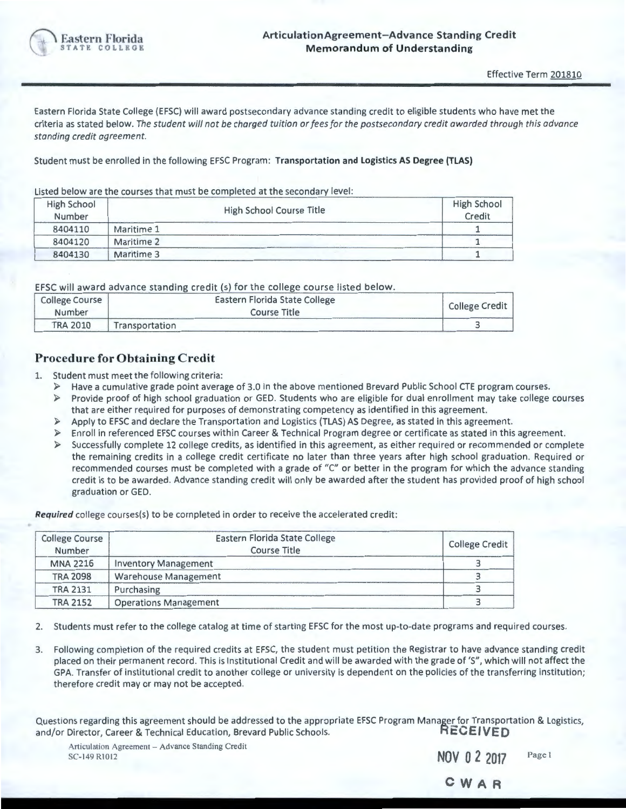

Eastern Florida State College (EFSC) will award postsecondary advance standing credit to eligible students who have met the criteria as stated below. *The student will not be charged tuition or fees for the postsecondary credit awarded through this advance standing credit agreement.* 

Student must be enrolled in the following EFSC Program: **Transportation and Logistics AS Degree (TLAS)** 

Listed below are the courses that must be completed at the secondary level:

| <b>High School</b><br>Number | High School Course Title | <b>High School</b><br>Credit |
|------------------------------|--------------------------|------------------------------|
| 8404110                      | Maritime 1               |                              |
| 8404120                      | Maritime 2               |                              |
| 8404130                      | Maritime 3               |                              |

EFSC will award advance standing credit (s) for the college course listed below.

| <b>College Course</b><br>Number | Eastern Florida State College<br>Course Title | <b>College Credit</b> |
|---------------------------------|-----------------------------------------------|-----------------------|
| <b>TRA 2010</b>                 | Transportation                                |                       |

## **Procedure for Obtaining Credit**

- 1. Student must meet the following criteria :
	- *»* Have a cumulative grade point average of 3.0 in the above mentioned Brevard Public School CTE program courses.
	- *»* Provide proof of high school graduation or GED. Students who are eligible for dual enrollment may take college courses that are either required for purposes of demonstrating competency as identified in this agreement.
	- *»* Apply to EFSC and declare the Transportation and Logistics (TLAS) AS Degree, as stated in this agreement.
	- *»* Enroll in referenced EFSC courses within Career & Technical Program degree or certificate as stated in this agreement.
	- *»* Successfully complete 12 college credits, as identified in this agreement, as either required or recommended or complete the remaining credits in a college credit certificate no later than three years after high school graduation. Required or recommended courses must be completed with a grade of "C" or better in the program for which the advance standing credit is to be awarded. Advance standing credit will only be awarded after the student has provided proof of high school graduation or GED.

**Required** college courses(s) to be completed in order to receive the accelerated credit:

| <b>College Course</b><br>Number | Eastern Florida State College<br>Course Title | <b>College Credit</b> |
|---------------------------------|-----------------------------------------------|-----------------------|
|                                 |                                               |                       |
| <b>MNA 2216</b>                 | <b>Inventory Management</b>                   |                       |
| <b>TRA 2098</b>                 | <b>Warehouse Management</b>                   |                       |
| <b>TRA 2131</b>                 | Purchasing                                    |                       |
| <b>TRA 2152</b>                 | <b>Operations Management</b>                  |                       |

2. Students must refer to the college catalog at time of starting EFSC for the most up-to-date programs and required courses.

3. Following completion of the required credits at EFSC, the student must petition the Registrar to have advance standing credit placed on their permanent record . This is Institutional Credit and will be awarded with the grade of 'S", which will not affect the GPA. Transfer of institutional credit to another college or university is dependent on the policies of the transferring institution; therefore credit may or may not be accepted.

Questions regarding this agreement should be addressed to the appropriate EFSC Program Manager for Transportation & Logistics,<br>and/or Director. Career & Technical Education. Brevard Public Schools. **RECEIVED** and/or Director, Career & Technical Education, Brevard Public Schools.

Articulation Agreement - Advance Standing Credit<br>SC-149 R1012 **NOV 0 2 2017 NOV 0 2 2017** 

| NOV 0 2 2017 | Page l |
|--------------|--------|
| CWAR         |        |